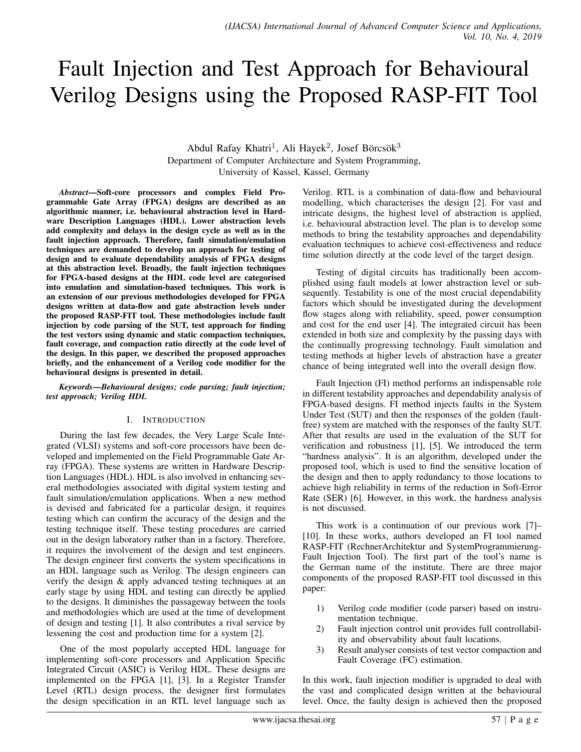# Fault Injection and Test Approach for Behavioural Verilog Designs using the Proposed RASP-FIT Tool

Abdul Rafay Khatri<sup>1</sup>, Ali Hayek<sup>2</sup>, Josef Börcsök<sup>3</sup> Department of Computer Architecture and System Programming, University of Kassel, Kassel, Germany

*Abstract*—Soft-core processors and complex Field Programmable Gate Array (FPGA) designs are described as an algorithmic manner, i.e. behavioural abstraction level in Hardware Description Languages (HDL). Lower abstraction levels add complexity and delays in the design cycle as well as in the fault injection approach. Therefore, fault simulation/emulation techniques are demanded to develop an approach for testing of design and to evaluate dependability analysis of FPGA designs at this abstraction level. Broadly, the fault injection techniques for FPGA-based designs at the HDL code level are categorised into emulation and simulation-based techniques. This work is an extension of our previous methodologies developed for FPGA designs written at data-flow and gate abstraction levels under the proposed RASP-FIT tool. These methodologies include fault injection by code parsing of the SUT, test approach for finding the test vectors using dynamic and static compaction techniques, fault coverage, and compaction ratio directly at the code level of the design. In this paper, we described the proposed approaches briefly, and the enhancement of a Verilog code modifier for the behavioural designs is presented in detail.

*Keywords*—*Behavioural designs; code parsing; fault injection; test approach; Verilog HDL*

#### I. INTRODUCTION

During the last few decades, the Very Large Scale Integrated (VLSI) systems and soft-core processors have been developed and implemented on the Field Programmable Gate Array (FPGA). These systems are written in Hardware Description Languages (HDL). HDL is also involved in enhancing several methodologies associated with digital system testing and fault simulation/emulation applications. When a new method is devised and fabricated for a particular design, it requires testing which can confirm the accuracy of the design and the testing technique itself. These testing procedures are carried out in the design laboratory rather than in a factory. Therefore, it requires the involvement of the design and test engineers. The design engineer first converts the system specifications in an HDL language such as Verilog. The design engineers can verify the design & apply advanced testing techniques at an early stage by using HDL and testing can directly be applied to the designs. It diminishes the passageway between the tools and methodologies which are used at the time of development of design and testing [1]. It also contributes a rival service by lessening the cost and production time for a system [2].

One of the most popularly accepted HDL language for implementing soft-core processors and Application Specific Integrated Circuit (ASIC) is Verilog HDL. These designs are implemented on the FPGA [1], [3]. In a Register Transfer Level (RTL) design process, the designer first formulates the design specification in an RTL level language such as

Verilog. RTL is a combination of data-flow and behavioural modelling, which characterises the design [2]. For vast and intricate designs, the highest level of abstraction is applied, i.e. behavioural abstraction level. The plan is to develop some methods to bring the testability approaches and dependability evaluation techniques to achieve cost-effectiveness and reduce time solution directly at the code level of the target design.

Testing of digital circuits has traditionally been accomplished using fault models at lower abstraction level or subsequently. Testability is one of the most crucial dependability factors which should be investigated during the development flow stages along with reliability, speed, power consumption and cost for the end user [4]. The integrated circuit has been extended in both size and complexity by the passing days with the continually progressing technology. Fault simulation and testing methods at higher levels of abstraction have a greater chance of being integrated well into the overall design flow.

Fault Injection (FI) method performs an indispensable role in different testability approaches and dependability analysis of FPGA-based designs. FI method injects faults in the System Under Test (SUT) and then the responses of the golden (faultfree) system are matched with the responses of the faulty SUT. After that results are used in the evaluation of the SUT for verification and robustness [1], [5]. We introduced the term "hardness analysis". It is an algorithm, developed under the proposed tool, which is used to find the sensitive location of the design and then to apply redundancy to those locations to achieve high reliability in terms of the reduction in Soft-Error Rate (SER) [6]. However, in this work, the hardness analysis is not discussed.

This work is a continuation of our previous work [7]– [10]. In these works, authors developed an FI tool named RASP-FIT (RechnerArchitektur and SystemProgrammierung-Fault Injection Tool). The first part of the tool's name is the German name of the institute. There are three major components of the proposed RASP-FIT tool discussed in this paper:

- 1) Verilog code modifier (code parser) based on instrumentation technique.
- 2) Fault injection control unit provides full controllability and observability about fault locations.
- 3) Result analyser consists of test vector compaction and Fault Coverage (FC) estimation.

In this work, fault injection modifier is upgraded to deal with the vast and complicated design written at the behavioural level. Once, the faulty design is achieved then the proposed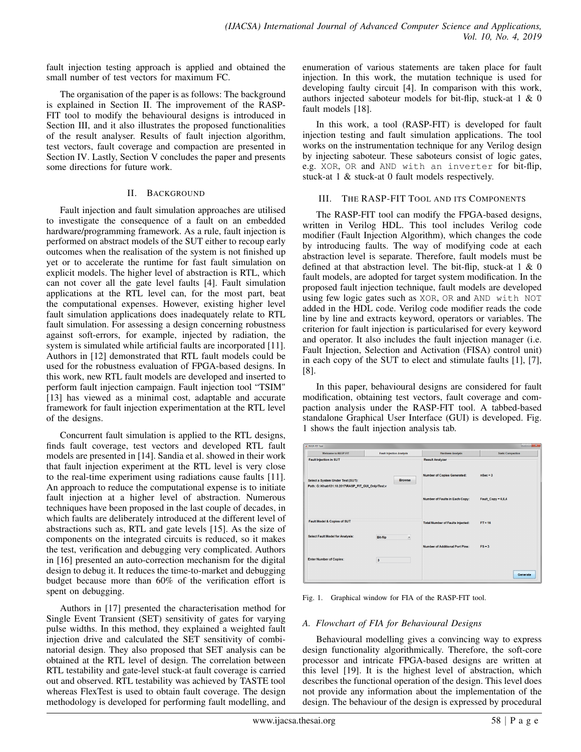fault injection testing approach is applied and obtained the small number of test vectors for maximum FC.

The organisation of the paper is as follows: The background is explained in Section II. The improvement of the RASP-FIT tool to modify the behavioural designs is introduced in Section III, and it also illustrates the proposed functionalities of the result analyser. Results of fault injection algorithm, test vectors, fault coverage and compaction are presented in Section IV. Lastly, Section V concludes the paper and presents some directions for future work.

#### II. BACKGROUND

Fault injection and fault simulation approaches are utilised to investigate the consequence of a fault on an embedded hardware/programming framework. As a rule, fault injection is performed on abstract models of the SUT either to recoup early outcomes when the realisation of the system is not finished up yet or to accelerate the runtime for fast fault simulation on explicit models. The higher level of abstraction is RTL, which can not cover all the gate level faults [4]. Fault simulation applications at the RTL level can, for the most part, beat the computational expenses. However, existing higher level fault simulation applications does inadequately relate to RTL fault simulation. For assessing a design concerning robustness against soft-errors, for example, injected by radiation, the system is simulated while artificial faults are incorporated [11]. Authors in [12] demonstrated that RTL fault models could be used for the robustness evaluation of FPGA-based designs. In this work, new RTL fault models are developed and inserted to perform fault injection campaign. Fault injection tool "TSIM" [13] has viewed as a minimal cost, adaptable and accurate framework for fault injection experimentation at the RTL level of the designs.

Concurrent fault simulation is applied to the RTL designs, finds fault coverage, test vectors and developed RTL fault models are presented in [14]. Sandia et al. showed in their work that fault injection experiment at the RTL level is very close to the real-time experiment using radiations cause faults [11]. An approach to reduce the computational expense is to initiate fault injection at a higher level of abstraction. Numerous techniques have been proposed in the last couple of decades, in which faults are deliberately introduced at the different level of abstractions such as, RTL and gate levels [15]. As the size of components on the integrated circuits is reduced, so it makes the test, verification and debugging very complicated. Authors in [16] presented an auto-correction mechanism for the digital design to debug it. It reduces the time-to-market and debugging budget because more than 60% of the verification effort is spent on debugging.

Authors in [17] presented the characterisation method for Single Event Transient (SET) sensitivity of gates for varying pulse widths. In this method, they explained a weighted fault injection drive and calculated the SET sensitivity of combinatorial design. They also proposed that SET analysis can be obtained at the RTL level of design. The correlation between RTL testability and gate-level stuck-at fault coverage is carried out and observed. RTL testability was achieved by TASTE tool whereas FlexTest is used to obtain fault coverage. The design methodology is developed for performing fault modelling, and enumeration of various statements are taken place for fault injection. In this work, the mutation technique is used for developing faulty circuit [4]. In comparison with this work, authors injected saboteur models for bit-flip, stuck-at 1 & 0 fault models [18].

In this work, a tool (RASP-FIT) is developed for fault injection testing and fault simulation applications. The tool works on the instrumentation technique for any Verilog design by injecting saboteur. These saboteurs consist of logic gates, e.g. XOR, OR and AND with an inverter for bit-flip, stuck-at 1 & stuck-at 0 fault models respectively.

## III. THE RASP-FIT TOOL AND ITS COMPONENTS

The RASP-FIT tool can modify the FPGA-based designs, written in Verilog HDL. This tool includes Verilog code modifier (Fault Injection Algorithm), which changes the code by introducing faults. The way of modifying code at each abstraction level is separate. Therefore, fault models must be defined at that abstraction level. The bit-flip, stuck-at 1 & 0 fault models, are adopted for target system modification. In the proposed fault injection technique, fault models are developed using few logic gates such as XOR, OR and AND with NOT added in the HDL code. Verilog code modifier reads the code line by line and extracts keyword, operators or variables. The criterion for fault injection is particularised for every keyword and operator. It also includes the fault injection manager (i.e. Fault Injection, Selection and Activation (FISA) control unit) in each copy of the SUT to elect and stimulate faults [1], [7], [8].

In this paper, behavioural designs are considered for fault modification, obtaining test vectors, fault coverage and compaction analysis under the RASP-FIT tool. A tabbed-based standalone Graphical User Interface (GUI) is developed. Fig. 1 shows the fault injection analysis tab.

| <b>A</b> RASP-FIT Tool                                                                                    |                                 |                                         | $\begin{picture}(180,10) \put(0,0){\line(1,0){10}} \put(10,0){\line(1,0){10}} \put(10,0){\line(1,0){10}} \put(10,0){\line(1,0){10}} \put(10,0){\line(1,0){10}} \put(10,0){\line(1,0){10}} \put(10,0){\line(1,0){10}} \put(10,0){\line(1,0){10}} \put(10,0){\line(1,0){10}} \put(10,0){\line(1,0){10}} \put(10,0){\line(1,0){10}} \put(10,0){\line($ |
|-----------------------------------------------------------------------------------------------------------|---------------------------------|-----------------------------------------|-----------------------------------------------------------------------------------------------------------------------------------------------------------------------------------------------------------------------------------------------------------------------------------------------------------------------------------------------------|
| <b>Welcome to RASP-FIT</b>                                                                                | <b>Fault Injection Analysis</b> | <b>Hardness Analysis</b>                | <b>Static Compaction</b>                                                                                                                                                                                                                                                                                                                            |
| <b>Fault Injection in SUT</b>                                                                             |                                 | <b>Result Analyzer</b>                  |                                                                                                                                                                                                                                                                                                                                                     |
| <b>Browse</b><br>Select a System Under Test (SUT):<br>Path: G:\Khatri\31.10.2017\RASP_FIT_GUI_Only\Test.v |                                 | <b>Number of Copies Generated:</b>      | $nsec = 3$                                                                                                                                                                                                                                                                                                                                          |
|                                                                                                           |                                 | <b>Number of Faults in Each Copy:</b>   | Fault Copy = 6,6,4                                                                                                                                                                                                                                                                                                                                  |
| Fault Model & Copies of SUT                                                                               |                                 | <b>Total Number of Faults Injected:</b> | $FT = 16$                                                                                                                                                                                                                                                                                                                                           |
| <b>Select Fault Model for Analysis:</b>                                                                   | Bit-flip<br>٠                   |                                         |                                                                                                                                                                                                                                                                                                                                                     |
|                                                                                                           |                                 | <b>Number of Additional Port Pins:</b>  | $FS = 3$                                                                                                                                                                                                                                                                                                                                            |
| <b>Enter Number of Copies:</b>                                                                            | $\overline{\mathbf{3}}$         |                                         |                                                                                                                                                                                                                                                                                                                                                     |
|                                                                                                           |                                 |                                         | Generate                                                                                                                                                                                                                                                                                                                                            |

Fig. 1. Graphical window for FIA of the RASP-FIT tool.

## *A. Flowchart of FIA for Behavioural Designs*

Behavioural modelling gives a convincing way to express design functionality algorithmically. Therefore, the soft-core processor and intricate FPGA-based designs are written at this level [19]. It is the highest level of abstraction, which describes the functional operation of the design. This level does not provide any information about the implementation of the design. The behaviour of the design is expressed by procedural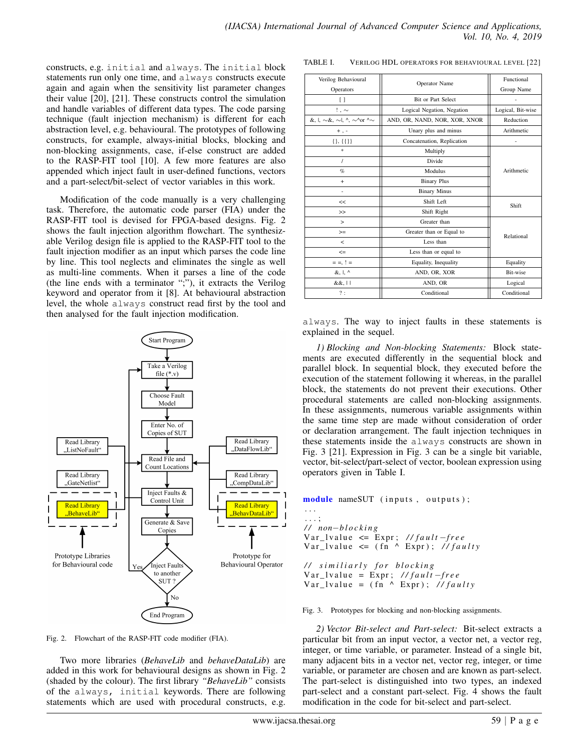constructs, e.g. initial and always. The initial block statements run only one time, and always constructs execute again and again when the sensitivity list parameter changes their value [20], [21]. These constructs control the simulation and handle variables of different data types. The code parsing technique (fault injection mechanism) is different for each abstraction level, e.g. behavioural. The prototypes of following constructs, for example, always-initial blocks, blocking and non-blocking assignments, case, if-else construct are added to the RASP-FIT tool [10]. A few more features are also appended which inject fault in user-defined functions, vectors and a part-select/bit-select of vector variables in this work.

Modification of the code manually is a very challenging task. Therefore, the automatic code parser (FIA) under the RASP-FIT tool is devised for FPGA-based designs. Fig. 2 shows the fault injection algorithm flowchart. The synthesizable Verilog design file is applied to the RASP-FIT tool to the fault injection modifier as an input which parses the code line by line. This tool neglects and eliminates the single as well as multi-line comments. When it parses a line of the code (the line ends with a terminator ";"), it extracts the Verilog keyword and operator from it [8]. At behavioural abstraction level, the whole always construct read first by the tool and then analysed for the fault injection modification.



Fig. 2. Flowchart of the RASP-FIT code modifier (FIA).

Two more libraries (*BehaveLib* and *behaveDataLib*) are added in this work for behavioural designs as shown in Fig. 2 (shaded by the colour). The first library *"BehaveLib"* consists of the always, initial keywords. There are following statements which are used with procedural constructs, e.g.

| Verilog Behavioural                              | Operator Name                 | Functional        |  |
|--------------------------------------------------|-------------------------------|-------------------|--|
| Operators                                        |                               | Group Name        |  |
| Ħ                                                | Bit or Part Select            |                   |  |
| $! \sim$                                         | Logical Negation, Negation    | Logical, Bit-wise |  |
| &, l, $\sim$ &, $\sim$ l, ^, $\sim$ ^or ^ $\sim$ | AND, OR, NAND, NOR, XOR, XNOR | Reduction         |  |
| $+$ , $-$                                        | Unary plus and minus          | Arithmetic        |  |
| $\{\}, \{\{\}\}\$                                | Concatenation, Replication    | $\overline{a}$    |  |
| *.                                               | Multiply                      |                   |  |
| $\prime$                                         | Divide                        |                   |  |
| $\%$                                             | <b>Modulus</b>                | Arithmetic        |  |
| $\ddot{}$                                        | <b>Binary Plus</b>            |                   |  |
| $\overline{a}$                                   | <b>Binary Minus</b>           |                   |  |
| <<                                               | Shift Left                    | Shift             |  |
| >                                                | Shift Right                   |                   |  |
| $\geq$                                           | Greater than                  |                   |  |
| $>=$                                             | Greater than or Equal to      | Relational        |  |
| $\,<\,$                                          | Less than                     |                   |  |
| $\leq$                                           | Less than or equal to         |                   |  |
| $= 1, 1, 1$                                      | Equality, Inequality          | Equality          |  |
| &, I, ^                                          | AND, OR, XOR                  | Bit-wise          |  |
| &&,                                              | AND, OR                       | Logical           |  |
| ?:                                               | Conditional                   | Conditional       |  |

TABLE I. VERILOG HDL OPERATORS FOR BEHAVIOURAL LEVEL [22]

always. The way to inject faults in these statements is explained in the sequel.

*1) Blocking and Non-blocking Statements:* Block statements are executed differently in the sequential block and parallel block. In sequential block, they executed before the execution of the statement following it whereas, in the parallel block, the statements do not prevent their executions. Other procedural statements are called non-blocking assignments. In these assignments, numerous variable assignments within the same time step are made without consideration of order or declaration arrangement. The fault injection techniques in these statements inside the always constructs are shown in Fig. 3 [21]. Expression in Fig. 3 can be a single bit variable, vector, bit-select/part-select of vector, boolean expression using operators given in Table I.

module nameSUT (inputs, outputs); . . . . . . ; */ / non*−*b l o c k i n g* Var\_lvalue <= Expr; //fault-free  $Var_l value \le (fn \wedge Expr)$ ; //*faulty / / s i m i l i a r l y f o r b l o c k i n g*  $Var_l = Expr$ ; //*fault* −*free*  $Var_lvalue = (\hat{fn} \wedge Expr);$  //*faulty* 

#### Fig. 3. Prototypes for blocking and non-blocking assignments.

*2) Vector Bit-select and Part-select:* Bit-select extracts a particular bit from an input vector, a vector net, a vector reg, integer, or time variable, or parameter. Instead of a single bit, many adjacent bits in a vector net, vector reg, integer, or time variable, or parameter are chosen and are known as part-select. The part-select is distinguished into two types, an indexed part-select and a constant part-select. Fig. 4 shows the fault modification in the code for bit-select and part-select.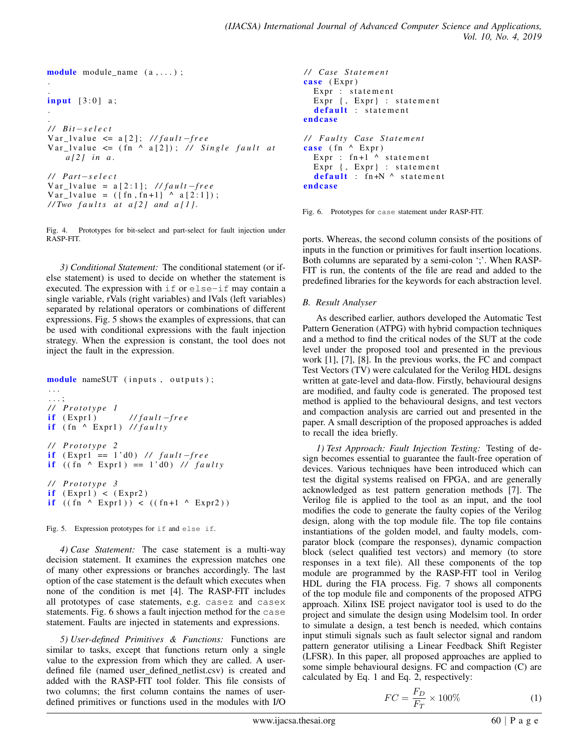```
module module_name (a,...);
.
```

```
.
input [3:0] a;
```
.

```
.
/ / Bit−s e l e c t
Var_l value \leq a[2]; //fault −free
Var_lvalue \leq (fn \land a[2]); // Single fault at
    a [ 2 ] i n a .
/ / P a rt−s e l e c t
Var_lvalue = a[2:1]; //fault −free
```

```
Var_{\text{1}} = (\{ \text{fn}, \text{fn}+1 \} ) ^ a [2:1] ;
// Two faults at a[2] and a[1].
```
Fig. 4. Prototypes for bit-select and part-select for fault injection under RASP-FIT.

*3) Conditional Statement:* The conditional statement (or ifelse statement) is used to decide on whether the statement is executed. The expression with if or else-if may contain a single variable, rVals (right variables) and lVals (left variables) separated by relational operators or combinations of different expressions. Fig. 5 shows the examples of expressions, that can be used with conditional expressions with the fault injection strategy. When the expression is constant, the tool does not inject the fault in the expression.

```
module nameSUT (inputs, outputs);
. . .
. . . ;
/ / P r o t o t y p e 1
if (Expr1) // fault −free
if (fn \wedge Expr1) //faulty
/ / P r o t o t y p e 2
if (Exp1 = 1'd0) // fault-freeif ((\text{fn} \land \text{Expr1}) == 1' d0) // faulty
/ / P r o t o t y p e 3
if (Expr1) < (Expr2)if ((fn \land Expr1)) < ((fn+1 \land Expr2))
```
Fig. 5. Expression prototypes for if and else if.

*4) Case Statement:* The case statement is a multi-way decision statement. It examines the expression matches one of many other expressions or branches accordingly. The last option of the case statement is the default which executes when none of the condition is met [4]. The RASP-FIT includes all prototypes of case statements, e.g. casez and casex statements. Fig. 6 shows a fault injection method for the case statement. Faults are injected in statements and expressions.

*5) User-defined Primitives & Functions:* Functions are similar to tasks, except that functions return only a single value to the expression from which they are called. A userdefined file (named user\_defined\_netlist.csv) is created and added with the RASP-FIT tool folder. This file consists of two columns; the first column contains the names of userdefined primitives or functions used in the modules with I/O

```
/ / Case S t a t e m e n t
case (Expr)
  Expr : statement
  Expr {, Expr} : statement
  default : statement
endcase
/ / F a u l t y Case S t a t e m e n t
case (fn ^{\wedge} Expr)
  Expr : fn+1 \wedge statementExpr {, Expr} : statement
  default: fn+N \land statement
endcase
```
Fig. 6. Prototypes for case statement under RASP-FIT.

ports. Whereas, the second column consists of the positions of inputs in the function or primitives for fault insertion locations. Both columns are separated by a semi-colon ';'. When RASP-FIT is run, the contents of the file are read and added to the predefined libraries for the keywords for each abstraction level.

## *B. Result Analyser*

As described earlier, authors developed the Automatic Test Pattern Generation (ATPG) with hybrid compaction techniques and a method to find the critical nodes of the SUT at the code level under the proposed tool and presented in the previous work [1], [7], [8]. In the previous works, the FC and compact Test Vectors (TV) were calculated for the Verilog HDL designs written at gate-level and data-flow. Firstly, behavioural designs are modified, and faulty code is generated. The proposed test method is applied to the behavioural designs, and test vectors and compaction analysis are carried out and presented in the paper. A small description of the proposed approaches is added to recall the idea briefly.

*1) Test Approach: Fault Injection Testing:* Testing of design becomes essential to guarantee the fault-free operation of devices. Various techniques have been introduced which can test the digital systems realised on FPGA, and are generally acknowledged as test pattern generation methods [7]. The Verilog file is applied to the tool as an input, and the tool modifies the code to generate the faulty copies of the Verilog design, along with the top module file. The top file contains instantiations of the golden model, and faulty models, comparator block (compare the responses), dynamic compaction block (select qualified test vectors) and memory (to store responses in a text file). All these components of the top module are programmed by the RASP-FIT tool in Verilog HDL during the FIA process. Fig. 7 shows all components of the top module file and components of the proposed ATPG approach. Xilinx ISE project navigator tool is used to do the project and simulate the design using Modelsim tool. In order to simulate a design, a test bench is needed, which contains input stimuli signals such as fault selector signal and random pattern generator utilising a Linear Feedback Shift Register (LFSR). In this paper, all proposed approaches are applied to some simple behavioural designs. FC and compaction (C) are calculated by Eq. 1 and Eq. 2, respectively:

$$
FC = \frac{F_D}{F_T} \times 100\%
$$
 (1)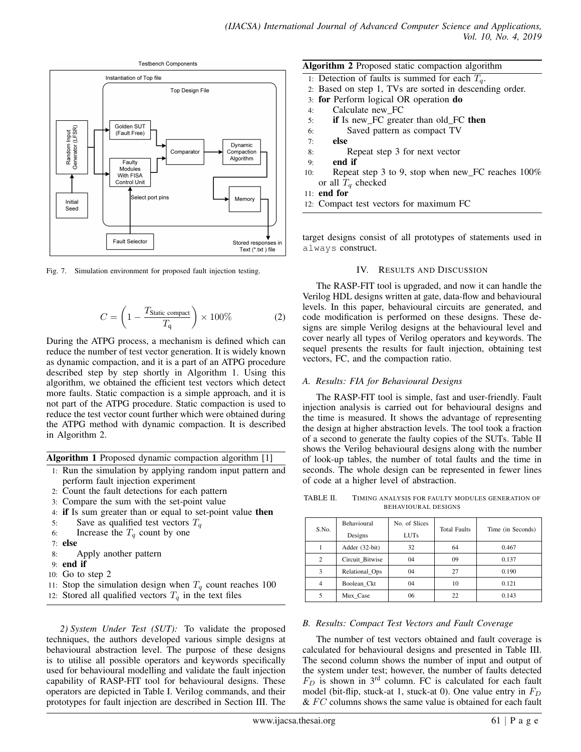

Fig. 7. Simulation environment for proposed fault injection testing.

$$
C = \left(1 - \frac{T_{\text{Static compact}}}{T_{\text{q}}}\right) \times 100\% \tag{2}
$$

During the ATPG process, a mechanism is defined which can reduce the number of test vector generation. It is widely known as dynamic compaction, and it is a part of an ATPG procedure described step by step shortly in Algorithm 1. Using this algorithm, we obtained the efficient test vectors which detect more faults. Static compaction is a simple approach, and it is not part of the ATPG procedure. Static compaction is used to reduce the test vector count further which were obtained during the ATPG method with dynamic compaction. It is described in Algorithm 2.

Algorithm 1 Proposed dynamic compaction algorithm [1]

- 1: Run the simulation by applying random input pattern and perform fault injection experiment
- 2: Count the fault detections for each pattern
- 3: Compare the sum with the set-point value
- 4: if Is sum greater than or equal to set-point value then
- 5: Save as qualified test vectors  $T<sub>a</sub>$
- 6: Increase the  $T<sub>q</sub>$  count by one
- 7: else
- 8: Apply another pattern
- 9: end if
- 10: Go to step 2
- 11: Stop the simulation design when  $T_q$  count reaches 100
- 12: Stored all qualified vectors  $T_q$  in the text files

*2) System Under Test (SUT):* To validate the proposed techniques, the authors developed various simple designs at behavioural abstraction level. The purpose of these designs is to utilise all possible operators and keywords specifically used for behavioural modelling and validate the fault injection capability of RASP-FIT tool for behavioural designs. These operators are depicted in Table I. Verilog commands, and their prototypes for fault injection are described in Section III. The

| <b>Algorithm 2</b> Proposed static compaction algorithm   |
|-----------------------------------------------------------|
| 1: Detection of faults is summed for each $T_q$ .         |
| 2. Based on step 1, TVs are sorted in descending order.   |
| 3: for Perform logical OR operation do                    |
| Calculate new FC<br>4:                                    |
| <b>if</b> Is new FC greater than old FC <b>then</b><br>5: |
| Saved pattern as compact TV<br>6:                         |
| else<br>7:                                                |
| Repeat step 3 for next vector<br>8:                       |
| end if<br>9:                                              |
| Repeat step 3 to 9, stop when new_FC reaches 100%<br>10:  |
| or all $Tq$ checked                                       |

11: end for

12: Compact test vectors for maximum FC

target designs consist of all prototypes of statements used in always construct.

#### IV. RESULTS AND DISCUSSION

The RASP-FIT tool is upgraded, and now it can handle the Verilog HDL designs written at gate, data-flow and behavioural levels. In this paper, behavioural circuits are generated, and code modification is performed on these designs. These designs are simple Verilog designs at the behavioural level and cover nearly all types of Verilog operators and keywords. The sequel presents the results for fault injection, obtaining test vectors, FC, and the compaction ratio.

#### *A. Results: FIA for Behavioural Designs*

The RASP-FIT tool is simple, fast and user-friendly. Fault injection analysis is carried out for behavioural designs and the time is measured. It shows the advantage of representing the design at higher abstraction levels. The tool took a fraction of a second to generate the faulty copies of the SUTs. Table II shows the Verilog behavioural designs along with the number of look-up tables, the number of total faults and the time in seconds. The whole design can be represented in fewer lines of code at a higher level of abstraction.

TABLE II. TIMING ANALYSIS FOR FAULTY MODULES GENERATION OF BEHAVIOURAL DESIGNS

| S.No.          | <b>Behavioural</b><br>Designs | No. of Slices<br><b>LUTs</b> | <b>Total Faults</b> | Time (in Seconds) |
|----------------|-------------------------------|------------------------------|---------------------|-------------------|
|                | Adder (32-bit)                | 32                           | 64                  | 0.467             |
| $\mathcal{L}$  | Circuit Bitwise               | $^{04}$                      | 09                  | 0.137             |
| 3              | Relational Ops                | $^{04}$                      | 27                  | 0.190             |
| $\overline{4}$ | Boolean Ckt                   | 04                           | 10                  | 0.121             |
|                | Mux Case                      | 06                           | 22                  | 0.143             |

#### *B. Results: Compact Test Vectors and Fault Coverage*

The number of test vectors obtained and fault coverage is calculated for behavioural designs and presented in Table III. The second column shows the number of input and output of the system under test; however, the number of faults detected  $F_D$  is shown in 3<sup>rd</sup> column. FC is calculated for each fault model (bit-flip, stuck-at 1, stuck-at 0). One value entry in  $F_D$  $& F C$  columns shows the same value is obtained for each fault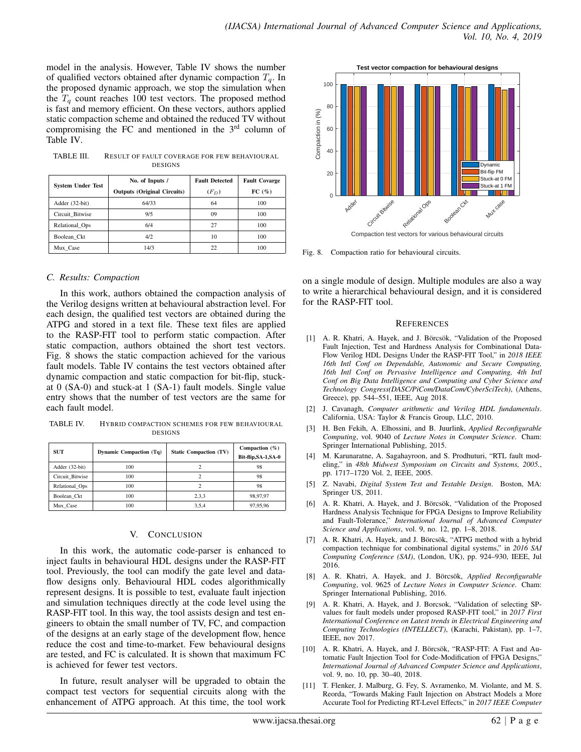model in the analysis. However, Table IV shows the number of qualified vectors obtained after dynamic compaction  $T_q$ . In the proposed dynamic approach, we stop the simulation when the  $T_q$  count reaches 100 test vectors. The proposed method is fast and memory efficient. On these vectors, authors applied static compaction scheme and obtained the reduced TV without compromising the FC and mentioned in the 3<sup>rd</sup> column of Table IV.

| TABLE III. | <b>RESULT OF FAULT COVERAGE FOR FEW BEHAVIOURAL</b> |
|------------|-----------------------------------------------------|
|            | <b>DESIGNS</b>                                      |

| <b>System Under Test</b> | No. of Inputs /                    | <b>Fault Detected</b> | <b>Fault Covarge</b> |
|--------------------------|------------------------------------|-----------------------|----------------------|
|                          | <b>Outputs (Original Circuits)</b> | $(F_D)$               | FC(%)                |
| Adder (32-bit)           | 64/33                              | 64                    | 100                  |
| Circuit Bitwise          | 9/5                                | 09                    | 100                  |
| Relational Ops           | 6/4                                | 27                    | 100                  |
| Boolean Ckt              | 4/2                                | 10                    | 100                  |
| Mux Case                 | 14/3                               | 22                    | 100                  |

### *C. Results: Compaction*

In this work, authors obtained the compaction analysis of the Verilog designs written at behavioural abstraction level. For each design, the qualified test vectors are obtained during the ATPG and stored in a text file. These text files are applied to the RASP-FIT tool to perform static compaction. After static compaction, authors obtained the short test vectors. Fig. 8 shows the static compaction achieved for the various fault models. Table IV contains the test vectors obtained after dynamic compaction and static compaction for bit-flip, stuckat 0 (SA-0) and stuck-at 1 (SA-1) fault models. Single value entry shows that the number of test vectors are the same for each fault model.

TABLE IV. HYBRID COMPACTION SCHEMES FOR FEW BEHAVIOURAL DESIGNS

| <b>SUT</b>      | <b>Dynamic Compaction (Tq)</b> | <b>Static Compaction (TV)</b> | Compaction $(\%)$<br>Bit-flip, SA-1, SA-0 |
|-----------------|--------------------------------|-------------------------------|-------------------------------------------|
| Adder (32-bit)  | 100                            |                               | 98                                        |
| Circuit Bitwise | 100                            |                               | 98                                        |
| Relational Ops  | 100                            |                               | 98                                        |
| Boolean Ckt     | 100                            | 2,3,3                         | 98,97,97                                  |
| Mux Case        | 100                            | 3.5.4                         | 97,95,96                                  |

### V. CONCLUSION

In this work, the automatic code-parser is enhanced to inject faults in behavioural HDL designs under the RASP-FIT tool. Previously, the tool can modify the gate level and dataflow designs only. Behavioural HDL codes algorithmically represent designs. It is possible to test, evaluate fault injection and simulation techniques directly at the code level using the RASP-FIT tool. In this way, the tool assists design and test engineers to obtain the small number of TV, FC, and compaction of the designs at an early stage of the development flow, hence reduce the cost and time-to-market. Few behavioural designs are tested, and FC is calculated. It is shown that maximum FC is achieved for fewer test vectors.

In future, result analyser will be upgraded to obtain the compact test vectors for sequential circuits along with the enhancement of ATPG approach. At this time, the tool work



Fig. 8. Compaction ratio for behavioural circuits.

on a single module of design. Multiple modules are also a way to write a hierarchical behavioural design, and it is considered for the RASP-FIT tool.

#### **REFERENCES**

- [1] A. R. Khatri, A. Hayek, and J. Börcsök, "Validation of the Proposed Fault Injection, Test and Hardness Analysis for Combinational Data-Flow Verilog HDL Designs Under the RASP-FIT Tool," in *2018 IEEE 16th Intl Conf on Dependable, Autonomic and Secure Computing, 16th Intl Conf on Pervasive Intelligence and Computing, 4th Intl Conf on Big Data Intelligence and Computing and Cyber Science and Technology Congress(DASC/PiCom/DataCom/CyberSciTech)*, (Athens, Greece), pp. 544–551, IEEE, Aug 2018.
- [2] J. Cavanagh, *Computer arithmetic and Verilog HDL fundamentals*. California, USA: Taylor & Francis Group, LLC, 2010.
- [3] H. Ben Fekih, A. Elhossini, and B. Juurlink, *Applied Reconfigurable Computing*, vol. 9040 of *Lecture Notes in Computer Science*. Cham: Springer International Publishing, 2015.
- [4] M. Karunaratne, A. Sagahayroon, and S. Prodhuturi, "RTL fault modeling," in *48th Midwest Symposium on Circuits and Systems, 2005.*, pp. 1717–1720 Vol. 2, IEEE, 2005.
- [5] Z. Navabi, *Digital System Test and Testable Design*. Boston, MA: Springer US, 2011.
- [6] A. R. Khatri, A. Hayek, and J. Börcsök, "Validation of the Proposed Hardness Analysis Technique for FPGA Designs to Improve Reliability and Fault-Tolerance," *International Journal of Advanced Computer Science and Applications*, vol. 9, no. 12, pp. 1–8, 2018.
- [7] A. R. Khatri, A. Hayek, and J. Börcsök, "ATPG method with a hybrid compaction technique for combinational digital systems," in *2016 SAI Computing Conference (SAI)*, (London, UK), pp. 924–930, IEEE, Jul 2016.
- [8] A. R. Khatri, A. Hayek, and J. Börcsök, *Applied Reconfigurable Computing*, vol. 9625 of *Lecture Notes in Computer Science*. Cham: Springer International Publishing, 2016.
- [9] A. R. Khatri, A. Hayek, and J. Borcsok, "Validation of selecting SPvalues for fault models under proposed RASP-FIT tool," in *2017 First International Conference on Latest trends in Electrical Engineering and Computing Technologies (INTELLECT)*, (Karachi, Pakistan), pp. 1–7, IEEE, nov 2017.
- [10] A. R. Khatri, A. Hayek, and J. Börcsök, "RASP-FIT: A Fast and Automatic Fault Injection Tool for Code-Modification of FPGA Designs," *International Journal of Advanced Computer Science and Applications*, vol. 9, no. 10, pp. 30–40, 2018.
- [11] T. Flenker, J. Malburg, G. Fey, S. Avramenko, M. Violante, and M. S. Reorda, "Towards Making Fault Injection on Abstract Models a More Accurate Tool for Predicting RT-Level Effects," in *2017 IEEE Computer*